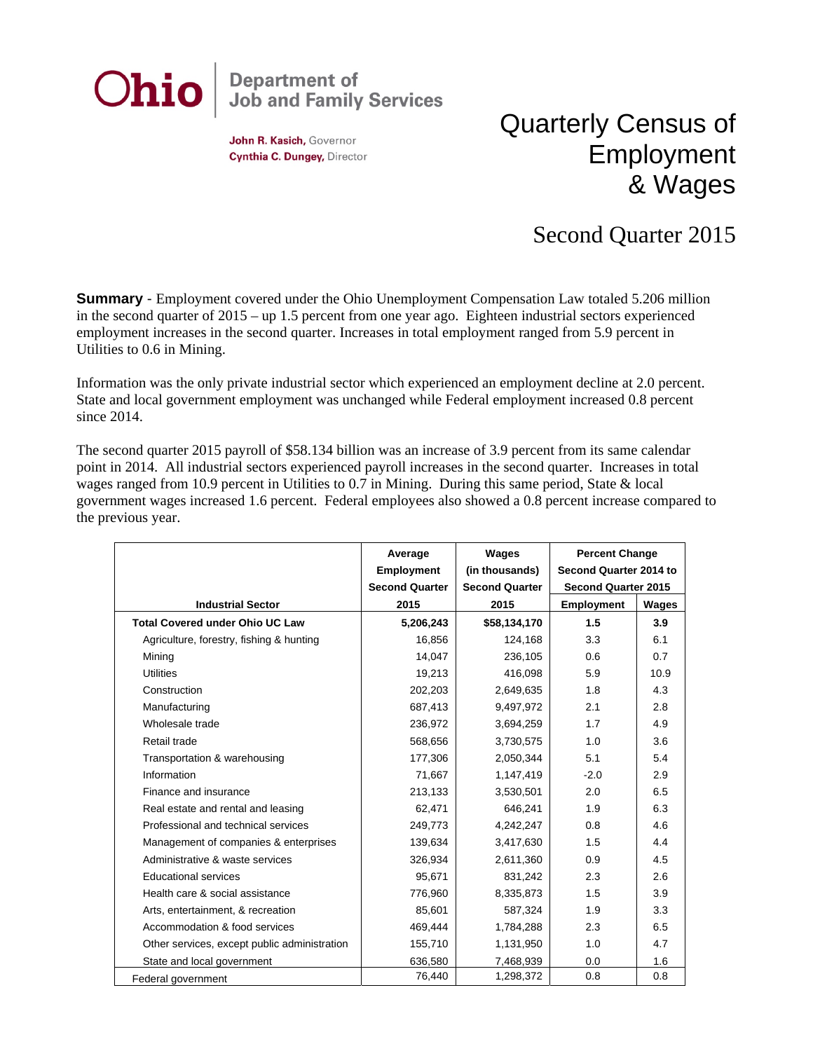

John R. Kasich, Governor Cynthia C. Dungey, Director

## Quarterly Census of Employment & Wages

## Second Quarter 2015

**Summary** - Employment covered under the Ohio Unemployment Compensation Law totaled 5.206 million in the second quarter of 2015 – up 1.5 percent from one year ago. Eighteen industrial sectors experienced employment increases in the second quarter. Increases in total employment ranged from 5.9 percent in Utilities to 0.6 in Mining.

Information was the only private industrial sector which experienced an employment decline at 2.0 percent. State and local government employment was unchanged while Federal employment increased 0.8 percent since 2014.

The second quarter 2015 payroll of \$58.134 billion was an increase of 3.9 percent from its same calendar point in 2014. All industrial sectors experienced payroll increases in the second quarter. Increases in total wages ranged from 10.9 percent in Utilities to 0.7 in Mining. During this same period, State & local government wages increased 1.6 percent. Federal employees also showed a 0.8 percent increase compared to the previous year.

|                                              | Average               | Wages                 | <b>Percent Change</b>      |       |
|----------------------------------------------|-----------------------|-----------------------|----------------------------|-------|
|                                              | <b>Employment</b>     | (in thousands)        | Second Quarter 2014 to     |       |
|                                              | <b>Second Quarter</b> | <b>Second Quarter</b> | <b>Second Quarter 2015</b> |       |
| <b>Industrial Sector</b>                     | 2015                  | 2015                  | Employment                 | Wages |
| <b>Total Covered under Ohio UC Law</b>       | 5,206,243             | \$58,134,170          | 1.5                        | 3.9   |
| Agriculture, forestry, fishing & hunting     | 16,856                | 124,168               | 3.3                        | 6.1   |
| Mining                                       | 14,047                | 236,105               | 0.6                        | 0.7   |
| <b>Utilities</b>                             | 19,213                | 416,098               | 5.9                        | 10.9  |
| Construction                                 | 202,203               | 2,649,635             | 1.8                        | 4.3   |
| Manufacturing                                | 687,413               | 9,497,972             | 2.1                        | 2.8   |
| Wholesale trade                              | 236,972               | 3,694,259             | 1.7                        | 4.9   |
| Retail trade                                 | 568,656               | 3,730,575             | 1.0                        | 3.6   |
| Transportation & warehousing                 | 177,306               | 2,050,344             | 5.1                        | 5.4   |
| Information                                  | 71,667                | 1,147,419             | $-2.0$                     | 2.9   |
| Finance and insurance                        | 213,133               | 3,530,501             | 2.0                        | 6.5   |
| Real estate and rental and leasing           | 62,471                | 646,241               | 1.9                        | 6.3   |
| Professional and technical services          | 249,773               | 4,242,247             | 0.8                        | 4.6   |
| Management of companies & enterprises        | 139,634               | 3,417,630             | 1.5                        | 4.4   |
| Administrative & waste services              | 326,934               | 2,611,360             | 0.9                        | 4.5   |
| <b>Educational services</b>                  | 95,671                | 831,242               | 2.3                        | 2.6   |
| Health care & social assistance              | 776,960               | 8,335,873             | 1.5                        | 3.9   |
| Arts, entertainment, & recreation            | 85,601                | 587,324               | 1.9                        | 3.3   |
| Accommodation & food services                | 469,444               | 1,784,288             | 2.3                        | 6.5   |
| Other services, except public administration | 155,710               | 1,131,950             | 1.0                        | 4.7   |
| State and local government                   | 636,580               | 7,468,939             | 0.0                        | 1.6   |
| Federal government                           | 76,440                | 1,298,372             | 0.8                        | 0.8   |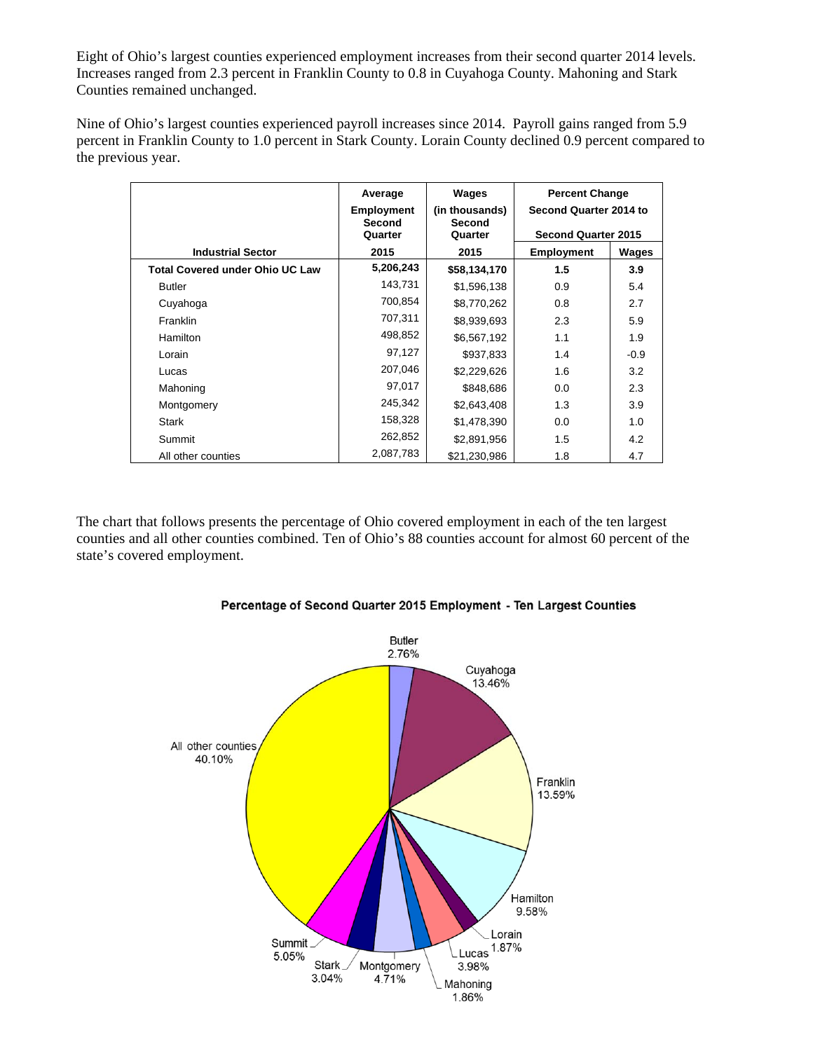Eight of Ohio's largest counties experienced employment increases from their second quarter 2014 levels. Increases ranged from 2.3 percent in Franklin County to 0.8 in Cuyahoga County. Mahoning and Stark Counties remained unchanged.

Nine of Ohio's largest counties experienced payroll increases since 2014. Payroll gains ranged from 5.9 percent in Franklin County to 1.0 percent in Stark County. Lorain County declined 0.9 percent compared to the previous year.

|                                        | Average                     | Wages                    | <b>Percent Change</b><br>Second Quarter 2014 to<br><b>Second Quarter 2015</b> |              |
|----------------------------------------|-----------------------------|--------------------------|-------------------------------------------------------------------------------|--------------|
|                                        | <b>Employment</b><br>Second | (in thousands)<br>Second |                                                                               |              |
|                                        | Quarter                     | Quarter                  |                                                                               |              |
| <b>Industrial Sector</b>               | 2015                        | 2015                     | <b>Employment</b>                                                             | <b>Wages</b> |
| <b>Total Covered under Ohio UC Law</b> | 5,206,243                   | \$58,134,170             | 1.5                                                                           | 3.9          |
| <b>Butler</b>                          | 143,731                     | \$1,596,138              | 0.9                                                                           | 5.4          |
| Cuyahoga                               | 700,854                     | \$8,770,262              | 0.8                                                                           | 2.7          |
| Franklin                               | 707,311                     | \$8,939,693              | 2.3                                                                           | 5.9          |
| <b>Hamilton</b>                        | 498,852                     | \$6,567,192              | 1.1                                                                           | 1.9          |
| Lorain                                 | 97,127                      | \$937,833                | 1.4                                                                           | $-0.9$       |
| Lucas                                  | 207,046                     | \$2,229,626              | 1.6                                                                           | 3.2          |
| Mahoning                               | 97,017                      | \$848,686                | 0.0                                                                           | 2.3          |
| Montgomery                             | 245,342                     | \$2,643,408              | 1.3                                                                           | 3.9          |
| <b>Stark</b>                           | 158,328                     | \$1,478,390              | 0.0                                                                           | 1.0          |
| Summit                                 | 262,852                     | \$2,891,956              | 1.5                                                                           | 4.2          |
| All other counties                     | 2,087,783                   | \$21,230,986             | 1.8                                                                           | 4.7          |

The chart that follows presents the percentage of Ohio covered employment in each of the ten largest counties and all other counties combined. Ten of Ohio's 88 counties account for almost 60 percent of the state's covered employment.



Percentage of Second Quarter 2015 Employment - Ten Largest Counties